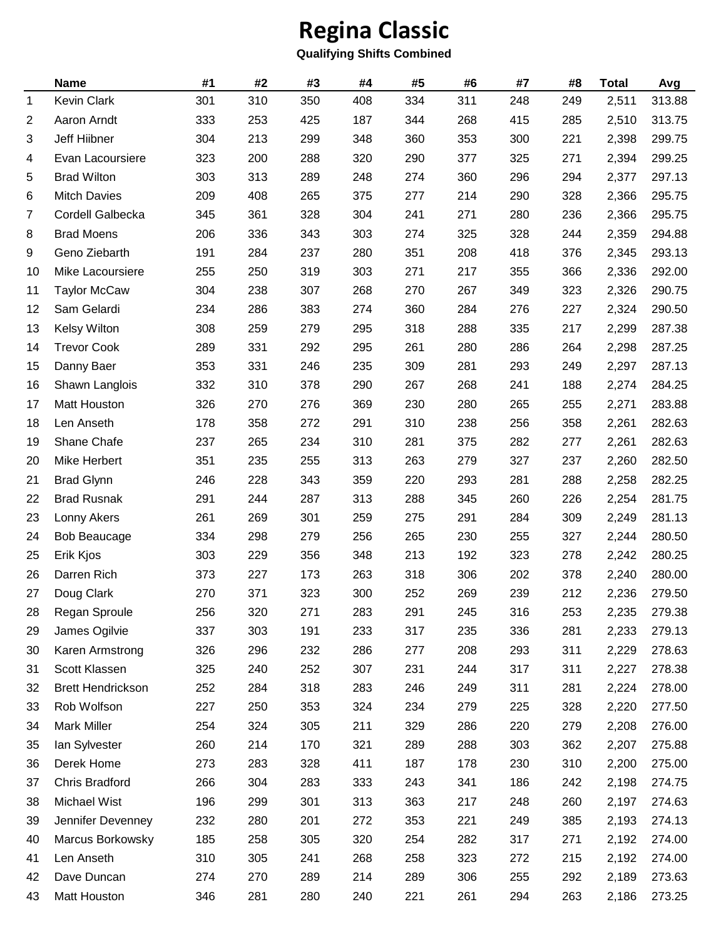## **Regina Classic**

## **Qualifying Shifts Combined**

|                | <b>Name</b>              | #1  | #2  | #3  | #4  | #5  | #6  | #7  | #8  | <b>Total</b> | Avg    |
|----------------|--------------------------|-----|-----|-----|-----|-----|-----|-----|-----|--------------|--------|
| $\mathbf 1$    | <b>Kevin Clark</b>       | 301 | 310 | 350 | 408 | 334 | 311 | 248 | 249 | 2,511        | 313.88 |
| $\overline{2}$ | Aaron Arndt              | 333 | 253 | 425 | 187 | 344 | 268 | 415 | 285 | 2,510        | 313.75 |
| 3              | Jeff Hiibner             | 304 | 213 | 299 | 348 | 360 | 353 | 300 | 221 | 2,398        | 299.75 |
| 4              | Evan Lacoursiere         | 323 | 200 | 288 | 320 | 290 | 377 | 325 | 271 | 2,394        | 299.25 |
| 5              | <b>Brad Wilton</b>       | 303 | 313 | 289 | 248 | 274 | 360 | 296 | 294 | 2,377        | 297.13 |
| 6              | <b>Mitch Davies</b>      | 209 | 408 | 265 | 375 | 277 | 214 | 290 | 328 | 2,366        | 295.75 |
| $\overline{7}$ | Cordell Galbecka         | 345 | 361 | 328 | 304 | 241 | 271 | 280 | 236 | 2,366        | 295.75 |
| 8              | <b>Brad Moens</b>        | 206 | 336 | 343 | 303 | 274 | 325 | 328 | 244 | 2,359        | 294.88 |
| 9              | Geno Ziebarth            | 191 | 284 | 237 | 280 | 351 | 208 | 418 | 376 | 2,345        | 293.13 |
| 10             | Mike Lacoursiere         | 255 | 250 | 319 | 303 | 271 | 217 | 355 | 366 | 2,336        | 292.00 |
| 11             | <b>Taylor McCaw</b>      | 304 | 238 | 307 | 268 | 270 | 267 | 349 | 323 | 2,326        | 290.75 |
| 12             | Sam Gelardi              | 234 | 286 | 383 | 274 | 360 | 284 | 276 | 227 | 2,324        | 290.50 |
| 13             | <b>Kelsy Wilton</b>      | 308 | 259 | 279 | 295 | 318 | 288 | 335 | 217 | 2,299        | 287.38 |
| 14             | <b>Trevor Cook</b>       | 289 | 331 | 292 | 295 | 261 | 280 | 286 | 264 | 2,298        | 287.25 |
| 15             | Danny Baer               | 353 | 331 | 246 | 235 | 309 | 281 | 293 | 249 | 2,297        | 287.13 |
| 16             | Shawn Langlois           | 332 | 310 | 378 | 290 | 267 | 268 | 241 | 188 | 2,274        | 284.25 |
| 17             | Matt Houston             | 326 | 270 | 276 | 369 | 230 | 280 | 265 | 255 | 2,271        | 283.88 |
| 18             | Len Anseth               | 178 | 358 | 272 | 291 | 310 | 238 | 256 | 358 | 2,261        | 282.63 |
| 19             | Shane Chafe              | 237 | 265 | 234 | 310 | 281 | 375 | 282 | 277 | 2,261        | 282.63 |
| 20             | Mike Herbert             | 351 | 235 | 255 | 313 | 263 | 279 | 327 | 237 | 2,260        | 282.50 |
| 21             | <b>Brad Glynn</b>        | 246 | 228 | 343 | 359 | 220 | 293 | 281 | 288 | 2,258        | 282.25 |
| 22             | <b>Brad Rusnak</b>       | 291 | 244 | 287 | 313 | 288 | 345 | 260 | 226 | 2,254        | 281.75 |
| 23             | Lonny Akers              | 261 | 269 | 301 | 259 | 275 | 291 | 284 | 309 | 2,249        | 281.13 |
| 24             | <b>Bob Beaucage</b>      | 334 | 298 | 279 | 256 | 265 | 230 | 255 | 327 | 2,244        | 280.50 |
| 25             | Erik Kjos                | 303 | 229 | 356 | 348 | 213 | 192 | 323 | 278 | 2,242        | 280.25 |
| 26             | Darren Rich              | 373 | 227 | 173 | 263 | 318 | 306 | 202 | 378 | 2,240        | 280.00 |
| 27             | Doug Clark               | 270 | 371 | 323 | 300 | 252 | 269 | 239 | 212 | 2,236        | 279.50 |
| 28             | Regan Sproule            | 256 | 320 | 271 | 283 | 291 | 245 | 316 | 253 | 2,235        | 279.38 |
| 29             | James Ogilvie            | 337 | 303 | 191 | 233 | 317 | 235 | 336 | 281 | 2,233        | 279.13 |
| 30             | Karen Armstrong          | 326 | 296 | 232 | 286 | 277 | 208 | 293 | 311 | 2,229        | 278.63 |
| 31             | Scott Klassen            | 325 | 240 | 252 | 307 | 231 | 244 | 317 | 311 | 2,227        | 278.38 |
| 32             | <b>Brett Hendrickson</b> | 252 | 284 | 318 | 283 | 246 | 249 | 311 | 281 | 2,224        | 278.00 |
| 33             | Rob Wolfson              | 227 | 250 | 353 | 324 | 234 | 279 | 225 | 328 | 2,220        | 277.50 |
| 34             | <b>Mark Miller</b>       | 254 | 324 | 305 | 211 | 329 | 286 | 220 | 279 | 2,208        | 276.00 |
| 35             | lan Sylvester            | 260 | 214 | 170 | 321 | 289 | 288 | 303 | 362 | 2,207        | 275.88 |
| 36             | Derek Home               | 273 | 283 | 328 | 411 | 187 | 178 | 230 | 310 | 2,200        | 275.00 |
| 37             | Chris Bradford           | 266 | 304 | 283 | 333 | 243 | 341 | 186 | 242 | 2,198        | 274.75 |
| 38             | Michael Wist             | 196 | 299 | 301 | 313 | 363 | 217 | 248 | 260 | 2,197        | 274.63 |
| 39             | Jennifer Devenney        | 232 | 280 | 201 | 272 | 353 | 221 | 249 | 385 | 2,193        | 274.13 |
| 40             | Marcus Borkowsky         | 185 | 258 | 305 | 320 | 254 | 282 | 317 | 271 | 2,192        | 274.00 |
| 41             | Len Anseth               | 310 | 305 | 241 | 268 | 258 | 323 | 272 | 215 | 2,192        | 274.00 |
| 42             | Dave Duncan              | 274 | 270 | 289 | 214 | 289 | 306 | 255 | 292 | 2,189        | 273.63 |
| 43             | Matt Houston             | 346 | 281 | 280 | 240 | 221 | 261 | 294 | 263 | 2,186        | 273.25 |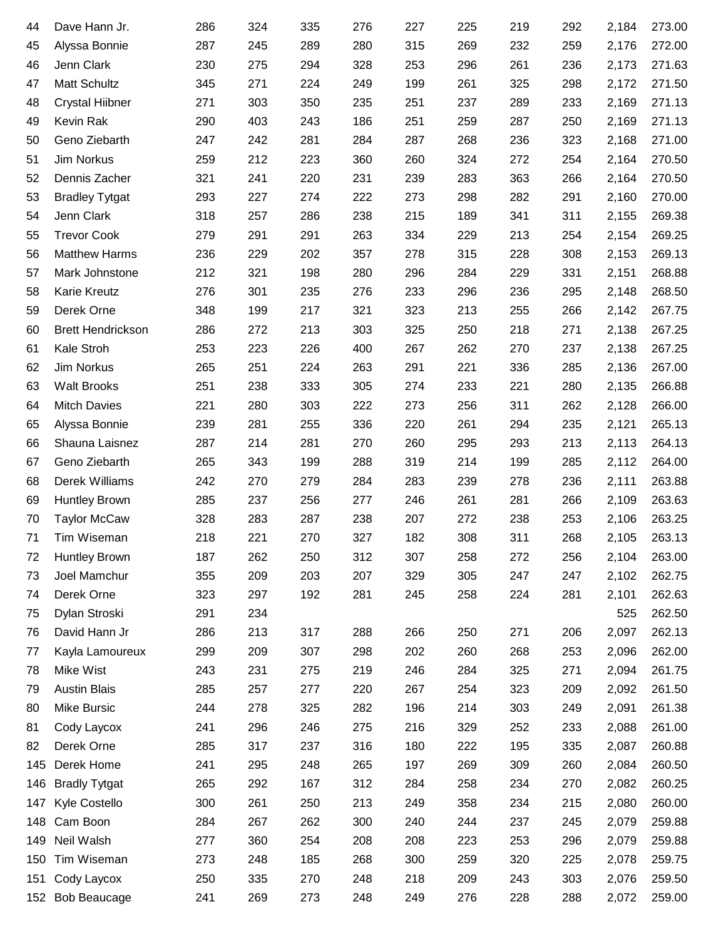| 44  | Dave Hann Jr.            | 286 | 324 | 335 | 276 | 227 | 225 | 219 | 292 | 2,184 | 273.00 |
|-----|--------------------------|-----|-----|-----|-----|-----|-----|-----|-----|-------|--------|
| 45  | Alyssa Bonnie            | 287 | 245 | 289 | 280 | 315 | 269 | 232 | 259 | 2,176 | 272.00 |
| 46  | Jenn Clark               | 230 | 275 | 294 | 328 | 253 | 296 | 261 | 236 | 2,173 | 271.63 |
| 47  | Matt Schultz             | 345 | 271 | 224 | 249 | 199 | 261 | 325 | 298 | 2,172 | 271.50 |
| 48  | <b>Crystal Hiibner</b>   | 271 | 303 | 350 | 235 | 251 | 237 | 289 | 233 | 2,169 | 271.13 |
| 49  | Kevin Rak                | 290 | 403 | 243 | 186 | 251 | 259 | 287 | 250 | 2,169 | 271.13 |
| 50  | Geno Ziebarth            | 247 | 242 | 281 | 284 | 287 | 268 | 236 | 323 | 2,168 | 271.00 |
| 51  | Jim Norkus               | 259 | 212 | 223 | 360 | 260 | 324 | 272 | 254 | 2,164 | 270.50 |
| 52  | Dennis Zacher            | 321 | 241 | 220 | 231 | 239 | 283 | 363 | 266 | 2,164 | 270.50 |
| 53  | <b>Bradley Tytgat</b>    | 293 | 227 | 274 | 222 | 273 | 298 | 282 | 291 | 2,160 | 270.00 |
| 54  | Jenn Clark               | 318 | 257 | 286 | 238 | 215 | 189 | 341 | 311 | 2,155 | 269.38 |
| 55  | <b>Trevor Cook</b>       | 279 | 291 | 291 | 263 | 334 | 229 | 213 | 254 | 2,154 | 269.25 |
| 56  | <b>Matthew Harms</b>     | 236 | 229 | 202 | 357 | 278 | 315 | 228 | 308 | 2,153 | 269.13 |
| 57  | Mark Johnstone           | 212 | 321 | 198 | 280 | 296 | 284 | 229 | 331 | 2,151 | 268.88 |
| 58  | Karie Kreutz             | 276 | 301 | 235 | 276 | 233 | 296 | 236 | 295 | 2,148 | 268.50 |
| 59  | Derek Orne               | 348 | 199 | 217 | 321 | 323 | 213 | 255 | 266 | 2,142 | 267.75 |
| 60  | <b>Brett Hendrickson</b> | 286 | 272 | 213 | 303 | 325 | 250 | 218 | 271 | 2,138 | 267.25 |
| 61  | Kale Stroh               | 253 | 223 | 226 | 400 | 267 | 262 | 270 | 237 | 2,138 | 267.25 |
| 62  | Jim Norkus               | 265 | 251 | 224 | 263 | 291 | 221 | 336 | 285 | 2,136 | 267.00 |
| 63  | <b>Walt Brooks</b>       | 251 | 238 | 333 | 305 | 274 | 233 | 221 | 280 | 2,135 | 266.88 |
| 64  | <b>Mitch Davies</b>      | 221 | 280 | 303 | 222 | 273 | 256 | 311 | 262 | 2,128 | 266.00 |
| 65  | Alyssa Bonnie            | 239 | 281 | 255 | 336 | 220 | 261 | 294 | 235 | 2,121 | 265.13 |
| 66  | Shauna Laisnez           | 287 | 214 | 281 | 270 | 260 | 295 | 293 | 213 | 2,113 | 264.13 |
| 67  | Geno Ziebarth            | 265 | 343 | 199 | 288 | 319 | 214 | 199 | 285 | 2,112 | 264.00 |
| 68  | Derek Williams           | 242 | 270 | 279 | 284 | 283 | 239 | 278 | 236 | 2,111 | 263.88 |
| 69  | <b>Huntley Brown</b>     | 285 | 237 | 256 | 277 | 246 | 261 | 281 | 266 | 2,109 | 263.63 |
| 70  | <b>Taylor McCaw</b>      | 328 | 283 | 287 | 238 | 207 | 272 | 238 | 253 | 2,106 | 263.25 |
| 71  | Tim Wiseman              | 218 | 221 | 270 | 327 | 182 | 308 | 311 | 268 | 2,105 | 263.13 |
| 72  | <b>Huntley Brown</b>     | 187 | 262 | 250 | 312 | 307 | 258 | 272 | 256 | 2,104 | 263.00 |
| 73  | Joel Mamchur             | 355 | 209 | 203 | 207 | 329 | 305 | 247 | 247 | 2,102 | 262.75 |
| 74  | Derek Orne               | 323 | 297 | 192 | 281 | 245 | 258 | 224 | 281 | 2,101 | 262.63 |
| 75  | Dylan Stroski            | 291 | 234 |     |     |     |     |     |     | 525   | 262.50 |
| 76  | David Hann Jr            | 286 | 213 | 317 | 288 | 266 | 250 | 271 | 206 | 2,097 | 262.13 |
| 77  | Kayla Lamoureux          | 299 | 209 | 307 | 298 | 202 | 260 | 268 | 253 | 2,096 | 262.00 |
| 78  | Mike Wist                | 243 | 231 | 275 | 219 | 246 | 284 | 325 | 271 | 2,094 | 261.75 |
| 79  | <b>Austin Blais</b>      | 285 | 257 | 277 | 220 | 267 | 254 | 323 | 209 | 2,092 | 261.50 |
| 80  | Mike Bursic              | 244 | 278 | 325 | 282 | 196 | 214 | 303 | 249 | 2,091 | 261.38 |
| 81  | Cody Laycox              | 241 | 296 | 246 | 275 | 216 | 329 | 252 | 233 | 2,088 | 261.00 |
| 82  | Derek Orne               | 285 | 317 | 237 | 316 | 180 | 222 | 195 | 335 | 2,087 | 260.88 |
| 145 | Derek Home               | 241 | 295 | 248 | 265 | 197 | 269 | 309 | 260 | 2,084 | 260.50 |
| 146 | <b>Bradly Tytgat</b>     | 265 | 292 | 167 | 312 | 284 | 258 | 234 | 270 | 2,082 | 260.25 |
| 147 | Kyle Costello            | 300 | 261 | 250 | 213 | 249 | 358 | 234 | 215 | 2,080 | 260.00 |
| 148 | Cam Boon                 | 284 | 267 | 262 | 300 | 240 | 244 | 237 | 245 | 2,079 | 259.88 |
| 149 | Neil Walsh               | 277 | 360 | 254 | 208 | 208 | 223 | 253 | 296 | 2,079 | 259.88 |
| 150 | Tim Wiseman              | 273 | 248 | 185 | 268 | 300 | 259 | 320 | 225 | 2,078 | 259.75 |
| 151 | Cody Laycox              | 250 | 335 | 270 | 248 | 218 | 209 | 243 | 303 | 2,076 | 259.50 |
|     | 152 Bob Beaucage         | 241 | 269 | 273 | 248 | 249 | 276 | 228 | 288 | 2,072 | 259.00 |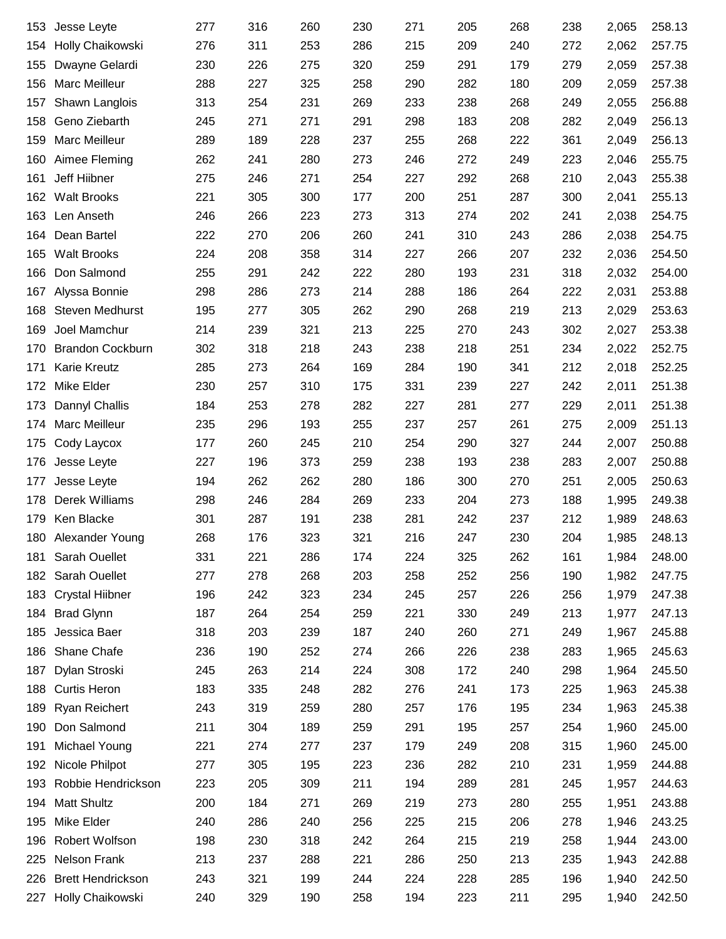| 153 | Jesse Leyte              | 277 | 316 | 260 | 230 | 271 | 205 | 268 | 238 | 2,065 | 258.13 |
|-----|--------------------------|-----|-----|-----|-----|-----|-----|-----|-----|-------|--------|
| 154 | Holly Chaikowski         | 276 | 311 | 253 | 286 | 215 | 209 | 240 | 272 | 2,062 | 257.75 |
| 155 | Dwayne Gelardi           | 230 | 226 | 275 | 320 | 259 | 291 | 179 | 279 | 2,059 | 257.38 |
| 156 | <b>Marc Meilleur</b>     | 288 | 227 | 325 | 258 | 290 | 282 | 180 | 209 | 2,059 | 257.38 |
| 157 | Shawn Langlois           | 313 | 254 | 231 | 269 | 233 | 238 | 268 | 249 | 2,055 | 256.88 |
| 158 | Geno Ziebarth            | 245 | 271 | 271 | 291 | 298 | 183 | 208 | 282 | 2,049 | 256.13 |
| 159 | Marc Meilleur            | 289 | 189 | 228 | 237 | 255 | 268 | 222 | 361 | 2,049 | 256.13 |
| 160 | Aimee Fleming            | 262 | 241 | 280 | 273 | 246 | 272 | 249 | 223 | 2,046 | 255.75 |
| 161 | Jeff Hiibner             | 275 | 246 | 271 | 254 | 227 | 292 | 268 | 210 | 2,043 | 255.38 |
| 162 | <b>Walt Brooks</b>       | 221 | 305 | 300 | 177 | 200 | 251 | 287 | 300 | 2,041 | 255.13 |
| 163 | Len Anseth               | 246 | 266 | 223 | 273 | 313 | 274 | 202 | 241 | 2,038 | 254.75 |
| 164 | Dean Bartel              | 222 | 270 | 206 | 260 | 241 | 310 | 243 | 286 | 2,038 | 254.75 |
| 165 | <b>Walt Brooks</b>       | 224 | 208 | 358 | 314 | 227 | 266 | 207 | 232 | 2,036 | 254.50 |
| 166 | Don Salmond              | 255 | 291 | 242 | 222 | 280 | 193 | 231 | 318 | 2,032 | 254.00 |
| 167 | Alyssa Bonnie            | 298 | 286 | 273 | 214 | 288 | 186 | 264 | 222 | 2,031 | 253.88 |
| 168 | Steven Medhurst          | 195 | 277 | 305 | 262 | 290 | 268 | 219 | 213 | 2,029 | 253.63 |
| 169 | Joel Mamchur             | 214 | 239 | 321 | 213 | 225 | 270 | 243 | 302 | 2,027 | 253.38 |
| 170 | <b>Brandon Cockburn</b>  | 302 | 318 | 218 | 243 | 238 | 218 | 251 | 234 | 2,022 | 252.75 |
| 171 | <b>Karie Kreutz</b>      | 285 | 273 | 264 | 169 | 284 | 190 | 341 | 212 | 2,018 | 252.25 |
| 172 | Mike Elder               | 230 | 257 | 310 | 175 | 331 | 239 | 227 | 242 | 2,011 | 251.38 |
| 173 | Dannyl Challis           | 184 | 253 | 278 | 282 | 227 | 281 | 277 | 229 | 2,011 | 251.38 |
| 174 | Marc Meilleur            | 235 | 296 | 193 | 255 | 237 | 257 | 261 | 275 | 2,009 | 251.13 |
| 175 | Cody Laycox              | 177 | 260 | 245 | 210 | 254 | 290 | 327 | 244 | 2,007 | 250.88 |
| 176 | Jesse Leyte              | 227 | 196 | 373 | 259 | 238 | 193 | 238 | 283 | 2,007 | 250.88 |
| 177 | Jesse Leyte              | 194 | 262 | 262 | 280 | 186 | 300 | 270 | 251 | 2,005 | 250.63 |
| 178 | Derek Williams           | 298 | 246 | 284 | 269 | 233 | 204 | 273 | 188 | 1,995 | 249.38 |
| 179 | Ken Blacke               | 301 | 287 | 191 | 238 | 281 | 242 | 237 | 212 | 1,989 | 248.63 |
|     | 180 Alexander Young      | 268 | 176 | 323 | 321 | 216 | 247 | 230 | 204 | 1,985 | 248.13 |
| 181 | Sarah Ouellet            | 331 | 221 | 286 | 174 | 224 | 325 | 262 | 161 | 1,984 | 248.00 |
| 182 | Sarah Ouellet            | 277 | 278 | 268 | 203 | 258 | 252 | 256 | 190 | 1,982 | 247.75 |
| 183 | <b>Crystal Hiibner</b>   | 196 | 242 | 323 | 234 | 245 | 257 | 226 | 256 | 1,979 | 247.38 |
| 184 | <b>Brad Glynn</b>        | 187 | 264 | 254 | 259 | 221 | 330 | 249 | 213 | 1,977 | 247.13 |
| 185 | Jessica Baer             | 318 | 203 | 239 | 187 | 240 | 260 | 271 | 249 | 1,967 | 245.88 |
| 186 | Shane Chafe              | 236 | 190 | 252 | 274 | 266 | 226 | 238 | 283 | 1,965 | 245.63 |
| 187 | Dylan Stroski            | 245 | 263 | 214 | 224 | 308 | 172 | 240 | 298 | 1,964 | 245.50 |
| 188 | <b>Curtis Heron</b>      | 183 | 335 | 248 | 282 | 276 | 241 | 173 | 225 | 1,963 | 245.38 |
| 189 | Ryan Reichert            | 243 | 319 | 259 | 280 | 257 | 176 | 195 | 234 | 1,963 | 245.38 |
| 190 | Don Salmond              | 211 | 304 | 189 | 259 | 291 | 195 | 257 | 254 | 1,960 | 245.00 |
| 191 | Michael Young            | 221 | 274 | 277 | 237 | 179 | 249 | 208 | 315 | 1,960 | 245.00 |
| 192 | Nicole Philpot           | 277 | 305 | 195 | 223 | 236 | 282 | 210 | 231 | 1,959 | 244.88 |
| 193 | Robbie Hendrickson       | 223 | 205 | 309 | 211 | 194 | 289 | 281 | 245 | 1,957 | 244.63 |
| 194 | <b>Matt Shultz</b>       | 200 | 184 | 271 | 269 | 219 | 273 | 280 | 255 | 1,951 | 243.88 |
| 195 | Mike Elder               | 240 | 286 | 240 | 256 | 225 | 215 | 206 | 278 | 1,946 | 243.25 |
| 196 | Robert Wolfson           | 198 | 230 | 318 | 242 | 264 | 215 | 219 | 258 | 1,944 | 243.00 |
| 225 | Nelson Frank             | 213 | 237 | 288 | 221 | 286 | 250 | 213 | 235 | 1,943 | 242.88 |
| 226 | <b>Brett Hendrickson</b> | 243 | 321 | 199 | 244 | 224 | 228 | 285 | 196 | 1,940 | 242.50 |
| 227 | Holly Chaikowski         | 240 | 329 | 190 | 258 | 194 | 223 | 211 | 295 | 1,940 | 242.50 |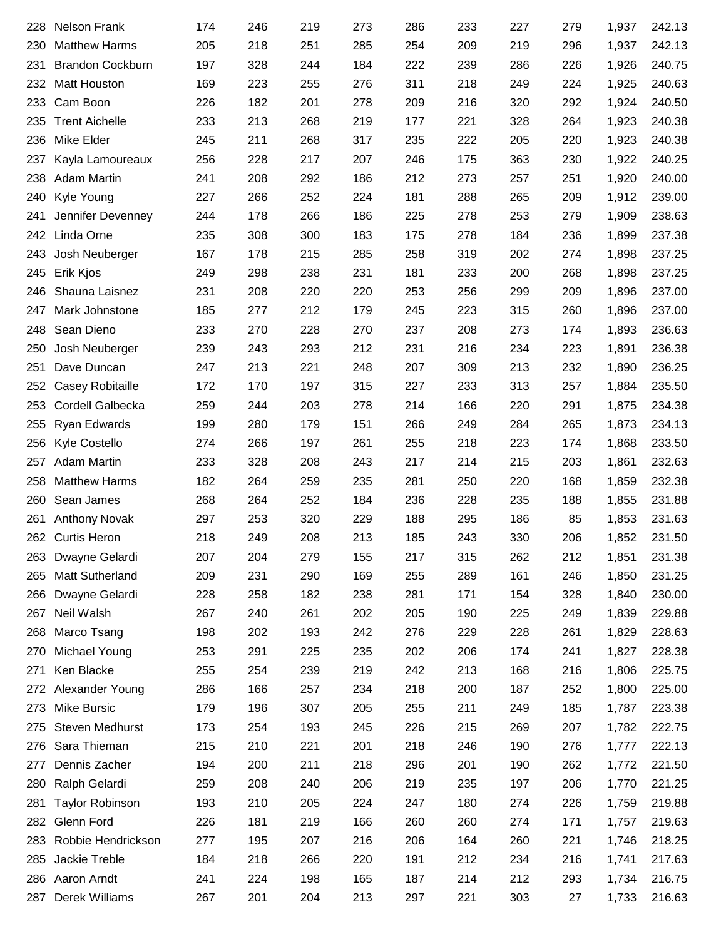| 228 | <b>Nelson Frank</b>     | 174 | 246 | 219 | 273 | 286 | 233 | 227 | 279 | 1,937 | 242.13 |
|-----|-------------------------|-----|-----|-----|-----|-----|-----|-----|-----|-------|--------|
| 230 | <b>Matthew Harms</b>    | 205 | 218 | 251 | 285 | 254 | 209 | 219 | 296 | 1,937 | 242.13 |
| 231 | <b>Brandon Cockburn</b> | 197 | 328 | 244 | 184 | 222 | 239 | 286 | 226 | 1,926 | 240.75 |
| 232 | Matt Houston            | 169 | 223 | 255 | 276 | 311 | 218 | 249 | 224 | 1,925 | 240.63 |
| 233 | Cam Boon                | 226 | 182 | 201 | 278 | 209 | 216 | 320 | 292 | 1,924 | 240.50 |
| 235 | <b>Trent Aichelle</b>   | 233 | 213 | 268 | 219 | 177 | 221 | 328 | 264 | 1,923 | 240.38 |
| 236 | Mike Elder              | 245 | 211 | 268 | 317 | 235 | 222 | 205 | 220 | 1,923 | 240.38 |
| 237 | Kayla Lamoureaux        | 256 | 228 | 217 | 207 | 246 | 175 | 363 | 230 | 1,922 | 240.25 |
| 238 | Adam Martin             | 241 | 208 | 292 | 186 | 212 | 273 | 257 | 251 | 1,920 | 240.00 |
| 240 | Kyle Young              | 227 | 266 | 252 | 224 | 181 | 288 | 265 | 209 | 1,912 | 239.00 |
| 241 | Jennifer Devenney       | 244 | 178 | 266 | 186 | 225 | 278 | 253 | 279 | 1,909 | 238.63 |
| 242 | Linda Orne              | 235 | 308 | 300 | 183 | 175 | 278 | 184 | 236 | 1,899 | 237.38 |
| 243 | Josh Neuberger          | 167 | 178 | 215 | 285 | 258 | 319 | 202 | 274 | 1,898 | 237.25 |
| 245 | Erik Kjos               | 249 | 298 | 238 | 231 | 181 | 233 | 200 | 268 | 1,898 | 237.25 |
| 246 | Shauna Laisnez          | 231 | 208 | 220 | 220 | 253 | 256 | 299 | 209 | 1,896 | 237.00 |
| 247 | Mark Johnstone          | 185 | 277 | 212 | 179 | 245 | 223 | 315 | 260 | 1,896 | 237.00 |
| 248 | Sean Dieno              | 233 | 270 | 228 | 270 | 237 | 208 | 273 | 174 | 1,893 | 236.63 |
| 250 | Josh Neuberger          | 239 | 243 | 293 | 212 | 231 | 216 | 234 | 223 | 1,891 | 236.38 |
| 251 | Dave Duncan             | 247 | 213 | 221 | 248 | 207 | 309 | 213 | 232 | 1,890 | 236.25 |
| 252 | Casey Robitaille        | 172 | 170 | 197 | 315 | 227 | 233 | 313 | 257 | 1,884 | 235.50 |
| 253 | Cordell Galbecka        | 259 | 244 | 203 | 278 | 214 | 166 | 220 | 291 | 1,875 | 234.38 |
| 255 | Ryan Edwards            | 199 | 280 | 179 | 151 | 266 | 249 | 284 | 265 | 1,873 | 234.13 |
| 256 | Kyle Costello           | 274 | 266 | 197 | 261 | 255 | 218 | 223 | 174 | 1,868 | 233.50 |
| 257 | <b>Adam Martin</b>      | 233 | 328 | 208 | 243 | 217 | 214 | 215 | 203 | 1,861 | 232.63 |
| 258 | <b>Matthew Harms</b>    | 182 | 264 | 259 | 235 | 281 | 250 | 220 | 168 | 1,859 | 232.38 |
| 260 | Sean James              | 268 | 264 | 252 | 184 | 236 | 228 | 235 | 188 | 1,855 | 231.88 |
| 261 | <b>Anthony Novak</b>    | 297 | 253 | 320 | 229 | 188 | 295 | 186 | 85  | 1,853 | 231.63 |
|     | 262 Curtis Heron        | 218 | 249 | 208 | 213 | 185 | 243 | 330 | 206 | 1,852 | 231.50 |
| 263 | Dwayne Gelardi          | 207 | 204 | 279 | 155 | 217 | 315 | 262 | 212 | 1,851 | 231.38 |
| 265 | <b>Matt Sutherland</b>  | 209 | 231 | 290 | 169 | 255 | 289 | 161 | 246 | 1,850 | 231.25 |
| 266 | Dwayne Gelardi          | 228 | 258 | 182 | 238 | 281 | 171 | 154 | 328 | 1,840 | 230.00 |
| 267 | Neil Walsh              | 267 | 240 | 261 | 202 | 205 | 190 | 225 | 249 | 1,839 | 229.88 |
| 268 | Marco Tsang             | 198 | 202 | 193 | 242 | 276 | 229 | 228 | 261 | 1,829 | 228.63 |
| 270 | Michael Young           | 253 | 291 | 225 | 235 | 202 | 206 | 174 | 241 | 1,827 | 228.38 |
| 271 | Ken Blacke              | 255 | 254 | 239 | 219 | 242 | 213 | 168 | 216 | 1,806 | 225.75 |
| 272 | Alexander Young         | 286 | 166 | 257 | 234 | 218 | 200 | 187 | 252 | 1,800 | 225.00 |
| 273 | Mike Bursic             | 179 | 196 | 307 | 205 | 255 | 211 | 249 | 185 | 1,787 | 223.38 |
| 275 | Steven Medhurst         | 173 | 254 | 193 | 245 | 226 | 215 | 269 | 207 | 1,782 | 222.75 |
| 276 | Sara Thieman            | 215 | 210 | 221 | 201 | 218 | 246 | 190 | 276 | 1,777 | 222.13 |
| 277 | Dennis Zacher           | 194 | 200 | 211 | 218 | 296 | 201 | 190 | 262 | 1,772 | 221.50 |
| 280 | Ralph Gelardi           | 259 | 208 | 240 | 206 | 219 | 235 | 197 | 206 | 1,770 | 221.25 |
| 281 | <b>Taylor Robinson</b>  | 193 | 210 | 205 | 224 | 247 | 180 | 274 | 226 | 1,759 | 219.88 |
| 282 | <b>Glenn Ford</b>       | 226 | 181 | 219 | 166 | 260 | 260 | 274 | 171 | 1,757 | 219.63 |
| 283 | Robbie Hendrickson      | 277 | 195 | 207 | 216 | 206 | 164 | 260 | 221 | 1,746 | 218.25 |
| 285 | Jackie Treble           | 184 | 218 | 266 | 220 | 191 | 212 | 234 | 216 | 1,741 | 217.63 |
|     | 286 Aaron Arndt         | 241 | 224 | 198 | 165 | 187 | 214 | 212 | 293 | 1,734 | 216.75 |
|     | 287 Derek Williams      | 267 | 201 | 204 | 213 | 297 | 221 | 303 | 27  | 1,733 | 216.63 |